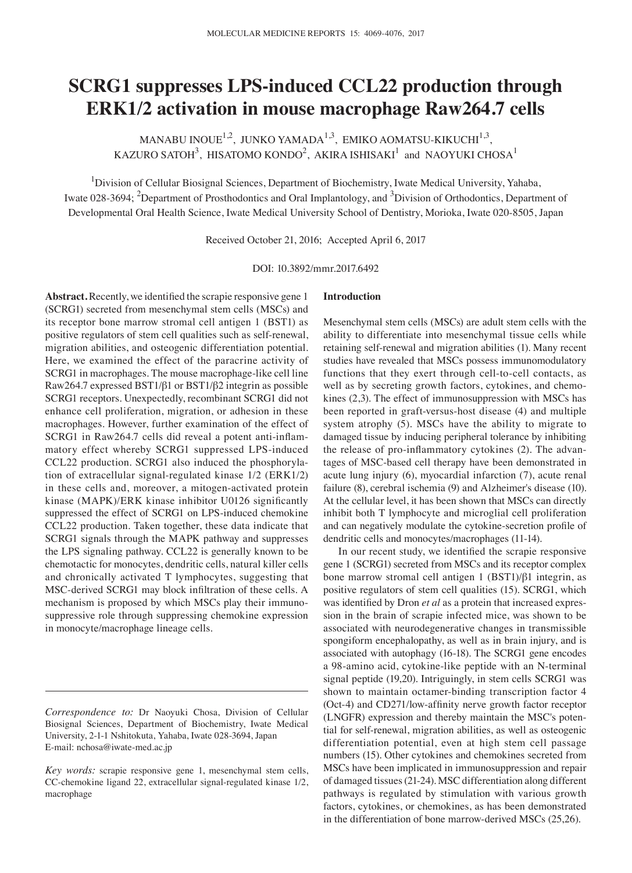# **SCRG1 suppresses LPS-induced CCL22 production through ERK1/2 activation in mouse macrophage Raw264.7 cells**

MANABU INOUE<sup>1,2</sup>, JUNKO YAMADA<sup>1,3</sup>, EMIKO AOMATSU-KIKUCHI<sup>1,3</sup>, KAZURO SATOH $^3$ , HISATOMO KONDO $^2$ , AKIRA ISHISAKI $^1$  and NAOYUKI CHOSA $^1$ 

<sup>1</sup>Division of Cellular Biosignal Sciences, Department of Biochemistry, Iwate Medical University, Yahaba, Iwate 028-3694; <sup>2</sup>Department of Prosthodontics and Oral Implantology, and <sup>3</sup>Division of Orthodontics, Department of Developmental Oral Health Science, Iwate Medical University School of Dentistry, Morioka, Iwate 020‑8505, Japan

Received October 21, 2016; Accepted April 6, 2017

DOI: 10.3892/mmr.2017.6492

**Abstract.** Recently, we identified the scrapie responsive gene 1 (SCRG1) secreted from mesenchymal stem cells (MSCs) and its receptor bone marrow stromal cell antigen 1 (BST1) as positive regulators of stem cell qualities such as self‑renewal, migration abilities, and osteogenic differentiation potential. Here, we examined the effect of the paracrine activity of SCRG1 in macrophages. The mouse macrophage-like cell line Raw264.7 expressed BST1/β1 or BST1/β2 integrin as possible SCRG1 receptors. Unexpectedly, recombinant SCRG1 did not enhance cell proliferation, migration, or adhesion in these macrophages. However, further examination of the effect of SCRG1 in Raw264.7 cells did reveal a potent anti-inflammatory effect whereby SCRG1 suppressed LPS‑induced CCL22 production. SCRG1 also induced the phosphorylation of extracellular signal-regulated kinase 1/2 (ERK1/2) in these cells and, moreover, a mitogen-activated protein kinase (MAPK)/ERK kinase inhibitor U0126 significantly suppressed the effect of SCRG1 on LPS-induced chemokine CCL22 production. Taken together, these data indicate that SCRG1 signals through the MAPK pathway and suppresses the LPS signaling pathway. CCL22 is generally known to be chemotactic for monocytes, dendritic cells, natural killer cells and chronically activated T lymphocytes, suggesting that MSC‑derived SCRG1 may block infiltration of these cells. A mechanism is proposed by which MSCs play their immunosuppressive role through suppressing chemokine expression in monocyte/macrophage lineage cells.

## **Introduction**

Mesenchymal stem cells (MSCs) are adult stem cells with the ability to differentiate into mesenchymal tissue cells while retaining self-renewal and migration abilities (1). Many recent studies have revealed that MSCs possess immunomodulatory functions that they exert through cell-to-cell contacts, as well as by secreting growth factors, cytokines, and chemokines (2,3). The effect of immunosuppression with MSCs has been reported in graft-versus-host disease (4) and multiple system atrophy (5). MSCs have the ability to migrate to damaged tissue by inducing peripheral tolerance by inhibiting the release of pro-inflammatory cytokines (2). The advantages of MSC‑based cell therapy have been demonstrated in acute lung injury (6), myocardial infarction (7), acute renal failure (8), cerebral ischemia (9) and Alzheimer's disease (10). At the cellular level, it has been shown that MSCs can directly inhibit both T lymphocyte and microglial cell proliferation and can negatively modulate the cytokine‑secretion profile of dendritic cells and monocytes/macrophages (11-14).

In our recent study, we identified the scrapie responsive gene 1 (SCRG1) secreted from MSCs and its receptor complex bone marrow stromal cell antigen 1 (BST1)/β1 integrin, as positive regulators of stem cell qualities (15). SCRG1, which was identified by Dron *et al* as a protein that increased expression in the brain of scrapie infected mice, was shown to be associated with neurodegenerative changes in transmissible spongiform encephalopathy, as well as in brain injury, and is associated with autophagy (16-18). The SCRG1 gene encodes a 98‑amino acid, cytokine‑like peptide with an N‑terminal signal peptide (19,20). Intriguingly, in stem cells SCRG1 was shown to maintain octamer-binding transcription factor 4 (Oct‑4) and CD271/low‑affinity nerve growth factor receptor (LNGFR) expression and thereby maintain the MSC's potential for self‑renewal, migration abilities, as well as osteogenic differentiation potential, even at high stem cell passage numbers (15). Other cytokines and chemokines secreted from MSCs have been implicated in immunosuppression and repair of damaged tissues(21-24). MSC differentiation along different pathways is regulated by stimulation with various growth factors, cytokines, or chemokines, as has been demonstrated in the differentiation of bone marrow-derived MSCs (25,26).

*Correspondence to:* Dr Naoyuki Chosa, Division of Cellular Biosignal Sciences, Department of Biochemistry, Iwate Medical University, 2‑1‑1 Nshitokuta, Yahaba, Iwate 028‑3694, Japan E‑mail: nchosa@iwate‑med.ac.jp

*Key words:* scrapie responsive gene 1, mesenchymal stem cells, CC-chemokine ligand 22, extracellular signal-regulated kinase 1/2, macrophage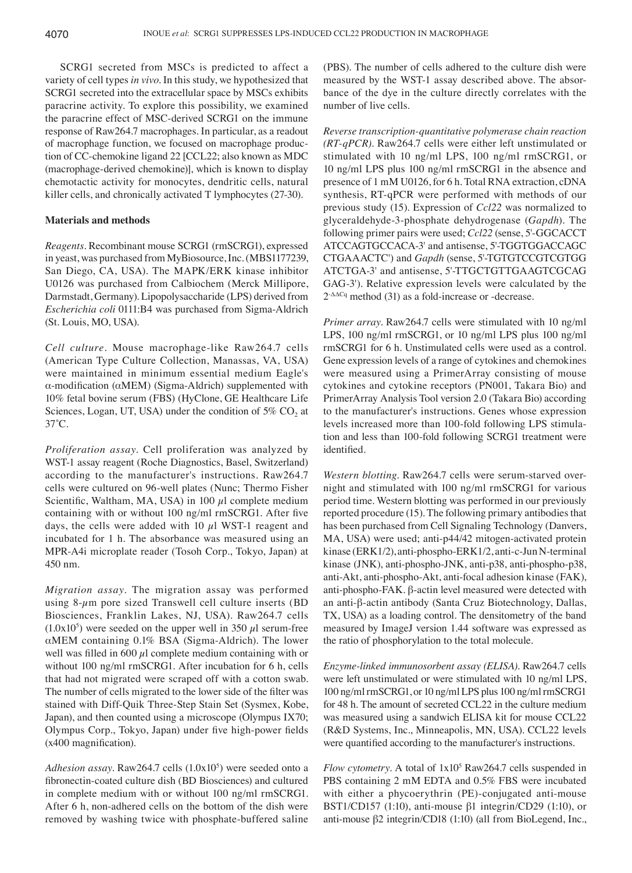SCRG1 secreted from MSCs is predicted to affect a variety of cell types *in vivo*. In this study, we hypothesized that SCRG1 secreted into the extracellular space by MSCs exhibits paracrine activity. To explore this possibility, we examined the paracrine effect of MSC‑derived SCRG1 on the immune response of Raw264.7 macrophages. In particular, as a readout of macrophage function, we focused on macrophage production of CC‑chemokine ligand 22 [CCL22; also known as MDC (macrophage‑derived chemokine)], which is known to display chemotactic activity for monocytes, dendritic cells, natural killer cells, and chronically activated T lymphocytes (27-30).

### **Materials and methods**

*Reagents.* Recombinant mouse SCRG1 (rmSCRG1), expressed in yeast, was purchased from MyBiosource, Inc. (MBS1177239, San Diego, CA, USA). The MAPK/ERK kinase inhibitor U0126 was purchased from Calbiochem (Merck Millipore, Darmstadt, Germany). Lipopolysaccharide (LPS) derived from *Escherichia coli* 0111:B4 was purchased from Sigma‑Aldrich (St. Louis, MO, USA).

*Cell culture.* Mouse macrophage‑like Raw264.7 cells (American Type Culture Collection, Manassas, VA, USA) were maintained in minimum essential medium Eagle's α‑modification (αMEM) (Sigma‑Aldrich) supplemented with 10% fetal bovine serum (FBS) (HyClone, GE Healthcare Life Sciences, Logan, UT, USA) under the condition of  $5\%$  CO<sub>2</sub> at 37˚C.

*Proliferation assay.* Cell proliferation was analyzed by WST-1 assay reagent (Roche Diagnostics, Basel, Switzerland) according to the manufacturer's instructions. Raw264.7 cells were cultured on 96‑well plates (Nunc; Thermo Fisher Scientific, Waltham, MA, USA) in 100  $\mu$ l complete medium containing with or without 100 ng/ml rmSCRG1. After five days, the cells were added with 10  $\mu$ l WST-1 reagent and incubated for 1 h. The absorbance was measured using an MPR‑A4i microplate reader (Tosoh Corp., Tokyo, Japan) at 450 nm.

*Migration assay.* The migration assay was performed using  $8-\mu$ m pore sized Transwell cell culture inserts (BD Biosciences, Franklin Lakes, NJ, USA). Raw264.7 cells  $(1.0x10<sup>5</sup>)$  were seeded on the upper well in 350  $\mu$ l serum-free αMEM containing 0.1% BSA (Sigma‑Aldrich). The lower well was filled in 600  $\mu$ l complete medium containing with or without 100 ng/ml rmSCRG1. After incubation for 6 h, cells that had not migrated were scraped off with a cotton swab. The number of cells migrated to the lower side of the filter was stained with Diff‑Quik Three‑Step Stain Set (Sysmex, Kobe, Japan), and then counted using a microscope (Olympus IX70; Olympus Corp., Tokyo, Japan) under five high-power fields (x400 magnification).

Adhesion assay. Raw264.7 cells (1.0x10<sup>5</sup>) were seeded onto a fibronectin‑coated culture dish (BD Biosciences) and cultured in complete medium with or without 100 ng/ml rmSCRG1. After 6 h, non‑adhered cells on the bottom of the dish were removed by washing twice with phosphate-buffered saline

(PBS). The number of cells adhered to the culture dish were measured by the WST‑1 assay described above. The absorbance of the dye in the culture directly correlates with the number of live cells.

*Reverse transcription‑quantitative polymerase chain reaction (RT‑qPCR).* Raw264.7 cells were either left unstimulated or stimulated with 10 ng/ml LPS, 100 ng/ml rmSCRG1, or 10 ng/ml LPS plus 100 ng/ml rmSCRG1 in the absence and presence of 1 mM U0126, for 6 h. Total RNA extraction, cDNA synthesis, RT‑qPCR were performed with methods of our previous study (15). Expression of *Ccl22* was normalized to glyceraldehyde‑3‑phosphate dehydrogenase (*Gapdh*). The following primer pairs were used; *Ccl22* (sense, 5'‑GGCACCT ATCCAGTGCCACA‑3' and antisense, 5'‑TGGTGGACCAGC CTGAAACTC') and *Gapdh* (sense, 5'‑TGTGTCCGTCGTGG ATCTGA‑3' and antisense, 5'‑TTGCTGTTGAAGTCGCAG GAG-3'). Relative expression levels were calculated by the  $2^{-\Delta\Delta Cq}$  method (31) as a fold-increase or -decrease.

*Primer array.* Raw264.7 cells were stimulated with 10 ng/ml LPS, 100 ng/ml rmSCRG1, or 10 ng/ml LPS plus 100 ng/ml rmSCRG1 for 6 h. Unstimulated cells were used as a control. Gene expression levels of a range of cytokines and chemokines were measured using a PrimerArray consisting of mouse cytokines and cytokine receptors (PN001, Takara Bio) and PrimerArray Analysis Tool version 2.0 (Takara Bio) according to the manufacturer's instructions. Genes whose expression levels increased more than 100‑fold following LPS stimulation and less than 100‑fold following SCRG1 treatment were identified.

*Western blotting.* Raw264.7 cells were serum‑starved overnight and stimulated with 100 ng/ml rmSCRG1 for various period time. Western blotting was performed in our previously reported procedure (15). The following primary antibodies that has been purchased from Cell Signaling Technology (Danvers, MA, USA) were used; anti-p44/42 mitogen-activated protein kinase (ERK1/2), anti-phospho-ERK1/2, anti-c-Jun N-terminal kinase (JNK), anti-phospho-JNK, anti-p38, anti-phospho-p38, anti‑Akt, anti‑phospho‑Akt, anti‑focal adhesion kinase (FAK), anti‑phospho‑FAK. β‑actin level measured were detected with an anti‑β‑actin antibody (Santa Cruz Biotechnology, Dallas, TX, USA) as a loading control. The densitometry of the band measured by ImageJ version 1.44 software was expressed as the ratio of phosphorylation to the total molecule.

*Enzyme‑linked immunosorbent assay (ELISA).* Raw264.7 cells were left unstimulated or were stimulated with 10 ng/ml LPS, 100 ng/ml rmSCRG1, or 10 ng/ml LPS plus 100 ng/ml rmSCRG1 for 48 h. The amount of secreted CCL22 in the culture medium was measured using a sandwich ELISA kit for mouse CCL22 (R&D Systems, Inc., Minneapolis, MN, USA). CCL22 levels were quantified according to the manufacturer's instructions.

*Flow cytometry*. A total of  $1x10^5$  Raw264.7 cells suspended in PBS containing 2 mM EDTA and 0.5% FBS were incubated with either a phycoerythrin (PE)-conjugated anti-mouse BST1/CD157 (1:10), anti‑mouse β1 integrin/CD29 (1:10), or anti‑mouse β2 integrin/CD18 (1:10) (all from BioLegend, Inc.,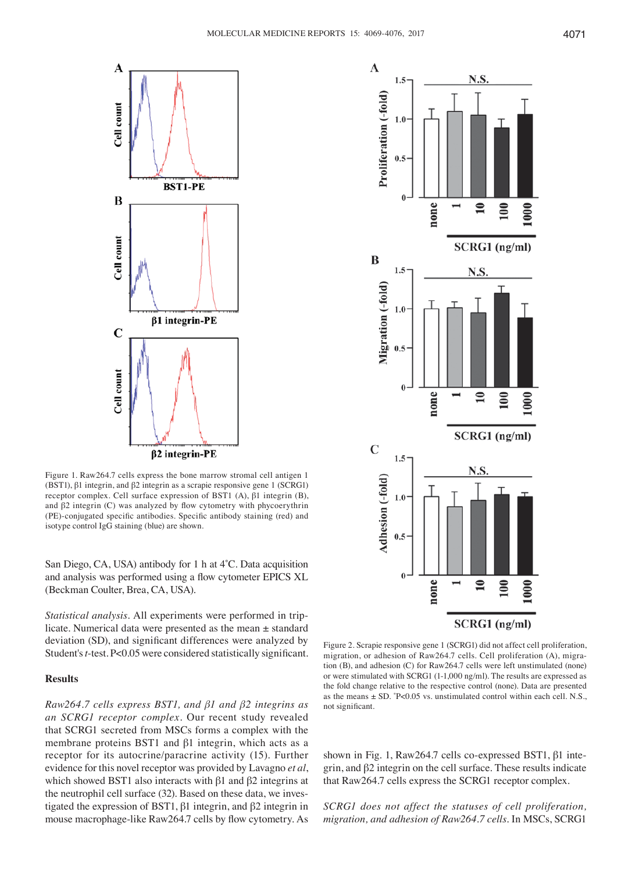

Figure 1. Raw264.7 cells express the bone marrow stromal cell antigen 1 (BST1), β1 integrin, and β2 integrin as a scrapie responsive gene 1 (SCRG1) receptor complex. Cell surface expression of BST1 (A), β1 integrin (B), and β2 integrin (C) was analyzed by flow cytometry with phycoerythrin (PE)‑conjugated specific antibodies. Specific antibody staining (red) and isotype control IgG staining (blue) are shown.

San Diego, CA, USA) antibody for 1 h at 4˚C. Data acquisition and analysis was performed using a flow cytometer EPICS XL (Beckman Coulter, Brea, CA, USA).

*Statistical analysis.* All experiments were performed in triplicate. Numerical data were presented as the mean ± standard deviation (SD), and significant differences were analyzed by Student's*t*‑test. P<0.05 were considered statistically significant.

# **Results**

*Raw264.7 cells express BST1, and β1 and β2 integrins as an SCRG1 receptor complex.* Our recent study revealed that SCRG1 secreted from MSCs forms a complex with the membrane proteins BST1 and β1 integrin, which acts as a receptor for its autocrine/paracrine activity (15). Further evidence for this novel receptor was provided by Lavagno *et al*, which showed BST1 also interacts with β1 and β2 integrins at the neutrophil cell surface (32). Based on these data, we investigated the expression of BST1, β1 integrin, and β2 integrin in mouse macrophage-like Raw264.7 cells by flow cytometry. As



Figure 2. Scrapie responsive gene 1 (SCRG1) did not affect cell proliferation, migration, or adhesion of Raw264.7 cells. Cell proliferation (A), migration (B), and adhesion (C) for Raw264.7 cells were left unstimulated (none) or were stimulated with SCRG1 (1‑1,000 ng/ml). The results are expressed as the fold change relative to the respective control (none). Data are presented as the means  $\pm$  SD.  $\degree$ P<0.05 vs. unstimulated control within each cell. N.S., not significant.

shown in Fig. 1, Raw264.7 cells co-expressed BST1, β1 integrin, and β2 integrin on the cell surface. These results indicate that Raw264.7 cells express the SCRG1 receptor complex.

*SCRG1 does not affect the statuses of cell proliferation, migration, and adhesion of Raw264.7 cells.* In MSCs, SCRG1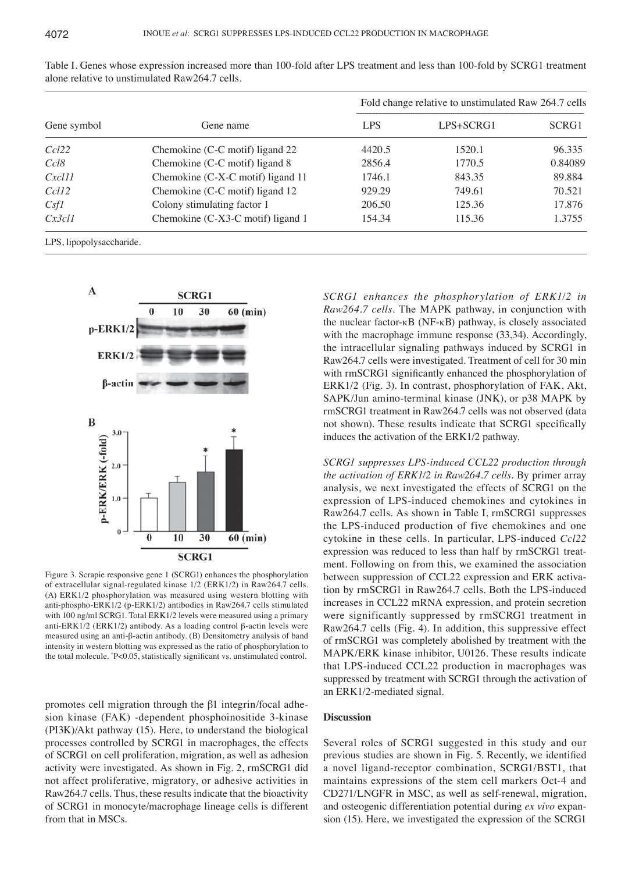| Gene symbol             | Gene name                         | Fold change relative to unstimulated Raw 264.7 cells |           |         |
|-------------------------|-----------------------------------|------------------------------------------------------|-----------|---------|
|                         |                                   | <b>LPS</b>                                           | LPS+SCRG1 | SCRG1   |
| Ccl22                   | Chemokine (C-C motif) ligand 22   | 4420.5                                               | 1520.1    | 96.335  |
| Ccl8                    | Chemokine (C-C motif) ligand 8    | 2856.4                                               | 1770.5    | 0.84089 |
| Cxcl11                  | Chemokine (C-X-C motif) ligand 11 | 1746.1                                               | 843.35    | 89.884  |
| Ccl <sub>12</sub>       | Chemokine (C-C motif) ligand 12   | 929.29                                               | 749.61    | 70.521  |
| Csf1                    | Colony stimulating factor 1       | 206.50                                               | 125.36    | 17.876  |
| Cx3c11                  | Chemokine (C-X3-C motif) ligand 1 | 154.34                                               | 115.36    | 1.3755  |
| I PS linopolysaccharide |                                   |                                                      |           |         |

Table I. Genes whose expression increased more than 100‑fold after LPS treatment and less than 100‑fold by SCRG1 treatment alone relative to unstimulated Raw264.7 cells.

b, upopolysaccharic



Figure 3. Scrapie responsive gene 1 (SCRG1) enhances the phosphorylation of extracellular signal‑regulated kinase 1/2 (ERK1/2) in Raw264.7 cells. (A) ERK1/2 phosphorylation was measured using western blotting with anti-phospho-ERK1/2 (p-ERK1/2) antibodies in Raw264.7 cells stimulated with 100 ng/ml SCRG1. Total ERK1/2 levels were measured using a primary anti-ERK1/2 (ERK1/2) antibody. As a loading control β-actin levels were measured using an anti‑β‑actin antibody. (B) Densitometry analysis of band intensity in western blotting was expressed as the ratio of phosphorylation to the total molecule. \* P<0.05, statistically significant vs. unstimulated control.

promotes cell migration through the β1 integrin/focal adhesion kinase (FAK) ‑dependent phosphoinositide 3‑kinase (PI3K)/Akt pathway (15). Here, to understand the biological processes controlled by SCRG1 in macrophages, the effects of SCRG1 on cell proliferation, migration, as well as adhesion activity were investigated. As shown in Fig. 2, rmSCRG1 did not affect proliferative, migratory, or adhesive activities in Raw264.7 cells. Thus, these results indicate that the bioactivity of SCRG1 in monocyte/macrophage lineage cells is different from that in MSCs.

*SCRG1 enhances the phosphorylation of ERK1/2 in Raw264.7 cells.* The MAPK pathway, in conjunction with the nuclear factor- $κB$  (NF- $κB$ ) pathway, is closely associated with the macrophage immune response (33,34). Accordingly, the intracellular signaling pathways induced by SCRG1 in Raw264.7 cells were investigated. Treatment of cell for 30 min with rmSCRG1 significantly enhanced the phosphorylation of ERK1/2 (Fig. 3). In contrast, phosphorylation of FAK, Akt, SAPK/Jun amino-terminal kinase (JNK), or p38 MAPK by rmSCRG1 treatment in Raw264.7 cells was not observed (data not shown). These results indicate that SCRG1 specifically induces the activation of the ERK1/2 pathway.

*SCRG1 suppresses LPS‑induced CCL22 production through the activation of ERK1/2 in Raw264.7 cells.* By primer array analysis, we next investigated the effects of SCRG1 on the expression of LPS‑induced chemokines and cytokines in Raw264.7 cells. As shown in Table I, rmSCRG1 suppresses the LPS‑induced production of five chemokines and one cytokine in these cells. In particular, LPS‑induced *Ccl22* expression was reduced to less than half by rmSCRG1 treatment. Following on from this, we examined the association between suppression of CCL22 expression and ERK activation by rmSCRG1 in Raw264.7 cells. Both the LPS‑induced increases in CCL22 mRNA expression, and protein secretion were significantly suppressed by rmSCRG1 treatment in Raw264.7 cells (Fig. 4). In addition, this suppressive effect of rmSCRG1 was completely abolished by treatment with the MAPK/ERK kinase inhibitor, U0126. These results indicate that LPS‑induced CCL22 production in macrophages was suppressed by treatment with SCRG1 through the activation of an ERK1/2‑mediated signal.

## **Discussion**

Several roles of SCRG1 suggested in this study and our previous studies are shown in Fig. 5. Recently, we identified a novel ligand‑receptor combination, SCRG1/BST1, that maintains expressions of the stem cell markers Oct‑4 and CD271/LNGFR in MSC, as well as self‑renewal, migration, and osteogenic differentiation potential during *ex vivo* expansion (15). Here, we investigated the expression of the SCRG1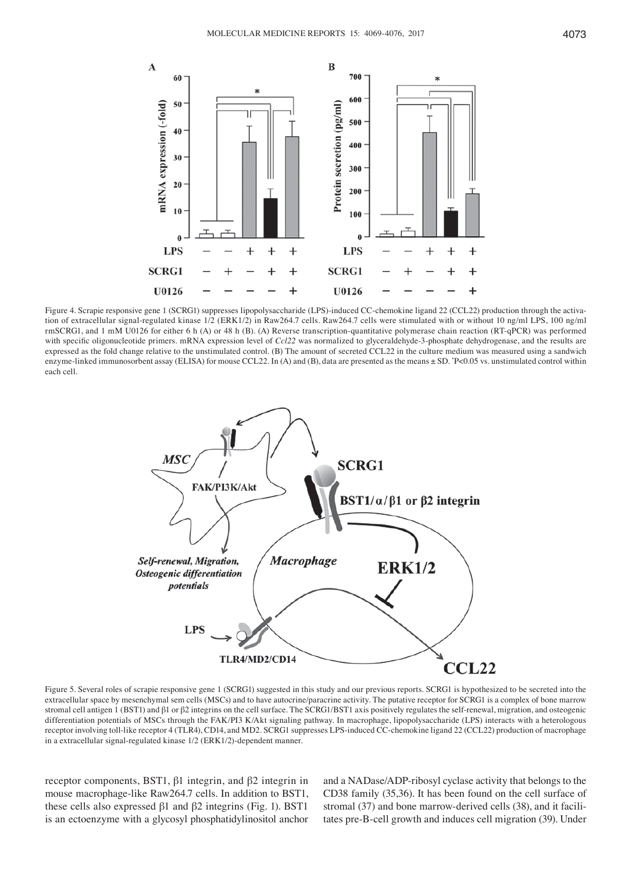

Figure 4. Scrapie responsive gene 1 (SCRG1) suppresses lipopolysaccharide (LPS)-induced CC-chemokine ligand 22 (CCL22) production through the activation of extracellular signal-regulated kinase 1/2 (ERK1/2) in Raw264.7 cells. Raw264.7 cells were stimulated with or without 10 ng/ml LPS, 100 ng/ml rmSCRG1, and 1 mM U0126 for either 6 h (A) or 48 h (B). (A) Reverse transcription‑quantitative polymerase chain reaction (RT‑qPCR) was performed with specific oligonucleotide primers. mRNA expression level of *Ccl22* was normalized to glyceraldehyde-3-phosphate dehydrogenase, and the results are expressed as the fold change relative to the unstimulated control. (B) The amount of secreted CCL22 in the culture medium was measured using a sandwich enzyme-linked immunosorbent assay (ELISA) for mouse CCL22. In (A) and (B), data are presented as the means ± SD. \*P<0.05 vs. unstimulated control within each cell.



Figure 5. Several roles of scrapie responsive gene 1 (SCRG1) suggested in this study and our previous reports. SCRG1 is hypothesized to be secreted into the extracellular space by mesenchymal sem cells (MSCs) and to have autocrine/paracrine activity. The putative receptor for SCRG1 is a complex of bone marrow stromal cell antigen 1 (BST1) and β1 or β2 integrins on the cell surface. The SCRG1/BST1 axis positively regulates the self-renewal, migration, and osteogenic differentiation potentials of MSCs through the FAK/PI3 K/Akt signaling pathway. In macrophage, lipopolysaccharide (LPS) interacts with a heterologous receptor involving toll-like receptor 4 (TLR4), CD14, and MD2. SCRG1 suppresses LPS-induced CC-chemokine ligand 22 (CCL22) production of macrophage in a extracellular signal-regulated kinase 1/2 (ERK1/2)-dependent manner.

receptor components, BST1, β1 integrin, and β2 integrin in mouse macrophage-like Raw264.7 cells. In addition to BST1, these cells also expressed β1 and β2 integrins (Fig. 1). BST1 is an ectoenzyme with a glycosyl phosphatidylinositol anchor and a NADase/ADP‑ribosyl cyclase activity that belongs to the CD38 family (35,36). It has been found on the cell surface of stromal (37) and bone marrow-derived cells (38), and it facilitates pre‑B‑cell growth and induces cell migration (39). Under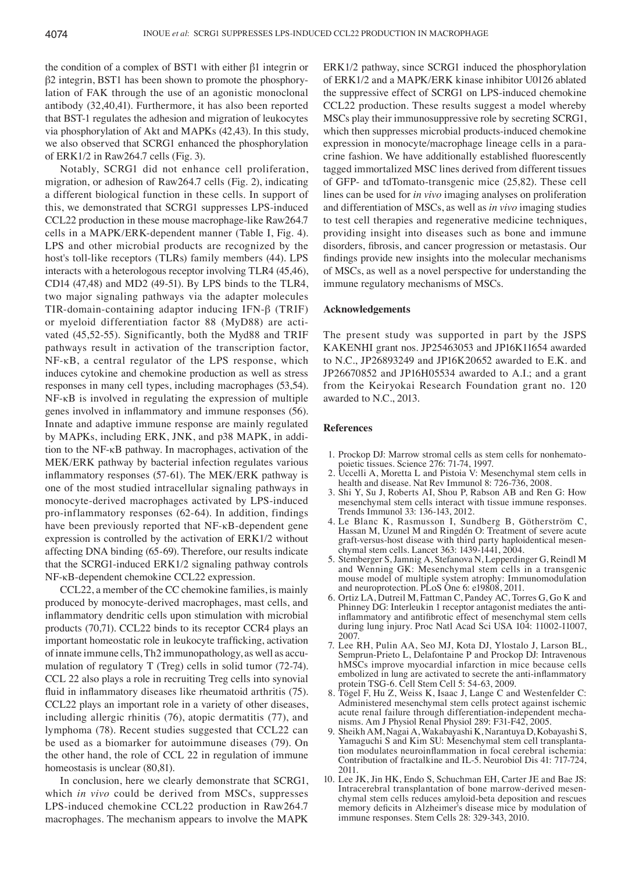the condition of a complex of BST1 with either β1 integrin or β2 integrin, BST1 has been shown to promote the phosphorylation of FAK through the use of an agonistic monoclonal antibody (32,40,41). Furthermore, it has also been reported that BST‑1 regulates the adhesion and migration of leukocytes via phosphorylation of Akt and MAPKs (42,43). In this study, we also observed that SCRG1 enhanced the phosphorylation of ERK1/2 in Raw264.7 cells (Fig. 3).

Notably, SCRG1 did not enhance cell proliferation, migration, or adhesion of Raw264.7 cells (Fig. 2), indicating a different biological function in these cells. In support of this, we demonstrated that SCRG1 suppresses LPS‑induced CCL22 production in these mouse macrophage-like Raw264.7 cells in a MAPK/ERK‑dependent manner (Table I, Fig. 4). LPS and other microbial products are recognized by the host's toll-like receptors (TLRs) family members (44). LPS interacts with a heterologous receptor involving TLR4 (45,46), CD14 (47,48) and MD2 (49-51). By LPS binds to the TLR4, two major signaling pathways via the adapter molecules TIR‑domain‑containing adaptor inducing IFN‑β (TRIF) or myeloid differentiation factor 88 (MyD88) are activated (45,52-55). Significantly, both the Myd88 and TRIF pathways result in activation of the transcription factor, NF-κB, a central regulator of the LPS response, which induces cytokine and chemokine production as well as stress responses in many cell types, including macrophages (53,54). NF-κB is involved in regulating the expression of multiple genes involved in inflammatory and immune responses (56). Innate and adaptive immune response are mainly regulated by MAPKs, including ERK, JNK, and p38 MAPK, in addition to the NF‑κB pathway. In macrophages, activation of the MEK/ERK pathway by bacterial infection regulates various inflammatory responses (57-61). The MEK/ERK pathway is one of the most studied intracellular signaling pathways in monocyte-derived macrophages activated by LPS-induced pro‑inflammatory responses (62-64). In addition, findings have been previously reported that NF-κB-dependent gene expression is controlled by the activation of ERK1/2 without affecting DNA binding (65-69). Therefore, our results indicate that the SCRG1‑induced ERK1/2 signaling pathway controls NF-κB‑dependent chemokine CCL22 expression.

CCL22, a member of the CC chemokine families, is mainly produced by monocyte‑derived macrophages, mast cells, and inflammatory dendritic cells upon stimulation with microbial products (70,71). CCL22 binds to its receptor CCR4 plays an important homeostatic role in leukocyte trafficking, activation of innate immune cells, Th2 immunopathology, as well as accumulation of regulatory T (Treg) cells in solid tumor (72-74). CCL 22 also plays a role in recruiting Treg cells into synovial fluid in inflammatory diseases like rheumatoid arthritis (75). CCL22 plays an important role in a variety of other diseases, including allergic rhinitis (76), atopic dermatitis (77), and lymphoma (78). Recent studies suggested that CCL22 can be used as a biomarker for autoimmune diseases (79). On the other hand, the role of CCL 22 in regulation of immune homeostasis is unclear (80,81).

In conclusion, here we clearly demonstrate that SCRG1, which *in vivo* could be derived from MSCs, suppresses LPS‑induced chemokine CCL22 production in Raw264.7 macrophages. The mechanism appears to involve the MAPK ERK1/2 pathway, since SCRG1 induced the phosphorylation of ERK1/2 and a MAPK/ERK kinase inhibitor U0126 ablated the suppressive effect of SCRG1 on LPS‑induced chemokine CCL22 production. These results suggest a model whereby MSCs play their immunosuppressive role by secreting SCRG1, which then suppresses microbial products-induced chemokine expression in monocyte/macrophage lineage cells in a paracrine fashion. We have additionally established fluorescently tagged immortalized MSC lines derived from different tissues of GFP‑ and tdTomato‑transgenic mice (25,82). These cell lines can be used for *in vivo* imaging analyses on proliferation and differentiation of MSCs, as well as *in vivo* imaging studies to test cell therapies and regenerative medicine techniques, providing insight into diseases such as bone and immune disorders, fibrosis, and cancer progression or metastasis. Our findings provide new insights into the molecular mechanisms of MSCs, as well as a novel perspective for understanding the immune regulatory mechanisms of MSCs.

## **Acknowledgements**

The present study was supported in part by the JSPS KAKENHI grant nos. JP25463053 and JP16K11654 awarded to N.C., JP26893249 and JP16K20652 awarded to E.K. and JP26670852 and JP16H05534 awarded to A.I.; and a grant from the Keiryokai Research Foundation grant no. 120 awarded to N.C., 2013.

#### **References**

- 1. Prockop DJ: Marrow stromal cells as stem cells for nonhematopoietic tissues. Science 276: 71‑74, 1997.
- 2. Uccelli A, Moretta L and Pistoia V: Mesenchymal stem cells in health and disease. Nat Rev Immunol 8: 726‑736, 2008.
- 3. Shi Y, Su J, Roberts AI, Shou P, Rabson AB and Ren G: How mesenchymal stem cells interact with tissue immune responses. Trends Immunol 33: 136‑143, 2012.
- 4. Le Blanc K, Rasmusson I, Sundberg B, Götherström C, Hassan M, Uzunel M and Ringdén O: Treatment of severe acute graft‑versus‑host disease with third party haploidentical mesenchymal stem cells. Lancet 363: 1439‑1441, 2004.
- 5. Stemberger S, Jamnig A, Stefanova N, Lepperdinger G, Reindl M and Wenning GK: Mesenchymal stem cells in a transgenic mouse model of multiple system atrophy: Immunomodulation and neuroprotection. PLoS One 6: e19808, 2011.
- 6. Ortiz LA, Dutreil M, Fattman C, Pandey AC, Torres G, Go K and Phinney DG: Interleukin 1 receptor antagonist mediates the antiinflammatory and antifibrotic effect of mesenchymal stem cells during lung injury. Proc Natl Acad Sci USA 104: 11002‑11007, 2007.
- 7. Lee RH, Pulin AA, Seo MJ, Kota DJ, Ylostalo J, Larson BL, Semprun-Prieto L, Delafontaine P and Prockop DJ: Intravenous hMSCs improve myocardial infarction in mice because cells embolized in lung are activated to secrete the anti-inflammatory protein TSG‑6. Cell Stem Cell 5: 54‑63, 2009.
- 8. Tögel F, Hu Z, Weiss K, Isaac J, Lange C and Westenfelder C: Administered mesenchymal stem cells protect against ischemic acute renal failure through differentiation–independent mechanisms. Am J Physiol Renal Physiol 289: F31-F42, 2005.
- 9. Sheikh AM, Nagai A, Wakabayashi K, Narantuya D, Kobayashi S, Yamaguchi S and Kim SU: Mesenchymal stem cell transplantation modulates neuroinflammation in focal cerebral ischemia: Contribution of fractalkine and IL-5. Neurobiol Dis 41: 717-724, 2011.
- 10. Lee JK, Jin HK, Endo S, Schuchman EH, Carter JE and Bae JS: Intracerebral transplantation of bone marrow‑derived mesenchymal stem cells reduces amyloid‑beta deposition and rescues memory deficits in Alzheimer's disease mice by modulation of immune responses. Stem Cells 28: 329‑343, 2010.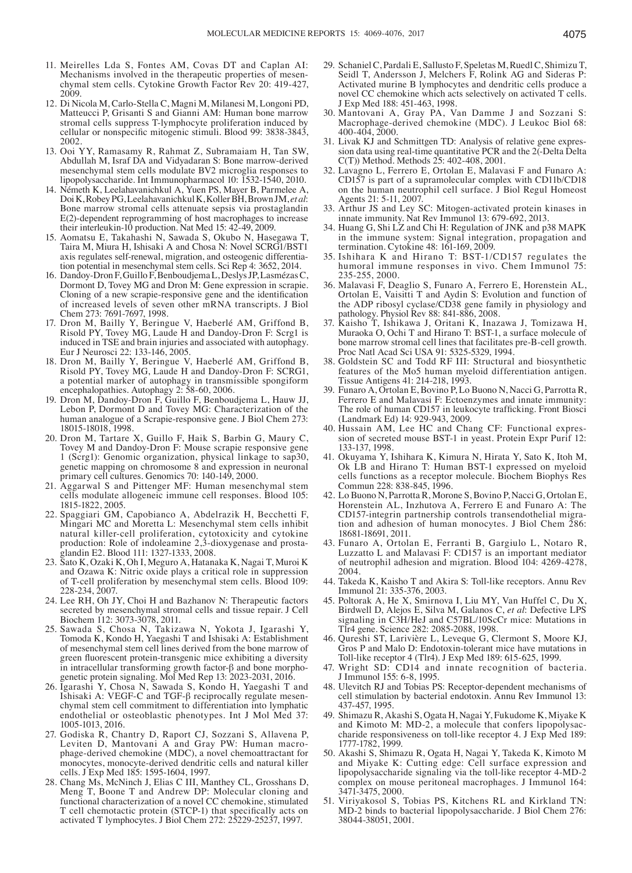- 11. Meirelles Lda S, Fontes AM, Covas DT and Caplan AI: Mechanisms involved in the therapeutic properties of mesenchymal stem cells. Cytokine Growth Factor Rev 20: 419‑427, 2009.
- 12. Di Nicola M, Carlo‑Stella C, Magni M, Milanesi M, Longoni PD, Matteucci P, Grisanti S and Gianni AM: Human bone marrow stromal cells suppress T‑lymphocyte proliferation induced by cellular or nonspecific mitogenic stimuli. Blood 99: 3838‑3843, 2002.
- 13. Ooi YY, Ramasamy R, Rahmat Z, Subramaiam H, Tan SW, Abdullah M, Israf DA and Vidyadaran S: Bone marrow‑derived mesenchymal stem cells modulate BV2 microglia responses to lipopolysaccharide. Int Immunopharmacol 10: 1532-1540, 2010.
- 14. Németh K, Leelahavanichkul A, Yuen PS, Mayer B, Parmelee A, DoiK, RobeyPG, LeelahavanichkulK, KollerBH, Brown JM, *et al*: Bone marrow stromal cells attenuate sepsis via prostaglandin E(2)‑dependent reprogramming of host macrophages to increase their interleukin‑10 production. Nat Med 15: 42‑49, 2009.
- 15. Aomatsu E, Takahashi N, Sawada S, Okubo N, Hasegawa T, Taira M, Miura H, Ishisaki A and Chosa N: Novel SCRG1/BST1 axis regulates self-renewal, migration, and osteogenic differentiation potential in mesenchymal stem cells. Sci Rep 4: 3652, 2014.
- 16. Dandoy‑Dron F, Guillo F, BenboudjemaL, DeslysJP, LasmézasC, Dormont D, Tovey MG and Dron M: Gene expression in scrapie. Cloning of a new scrapie‑responsive gene and the identification of increased levels of seven other mRNA transcripts. J Biol Chem 273: 7691-7697, 1998.
- 17. Dron M, Bailly Y, Beringue V, Haeberlé AM, Griffond B, Risold PY, Tovey MG, Laude H and Dandoy‑Dron F: Scrg1 is induced in TSE and brain injuries and associated with autophagy. Eur J Neurosci 22: 133‑146, 2005.
- 18. Dron M, Bailly Y, Beringue V, Haeberlé AM, Griffond B, Risold PY, Tovey MG, Laude H and Dandoy‑Dron F: SCRG1, a potential marker of autophagy in transmissible spongiform encephalopathies. Autophagy 2: 58‑60, 2006.
- 19. Dron M, Dandoy‑Dron F, Guillo F, Benboudjema L, Hauw JJ, Lebon P, Dormont D and Tovey MG: Characterization of the human analogue of a Scrapie-responsive gene. J Biol Chem 273: 18015‑18018, 1998.
- 20. Dron M, Tartare X, Guillo F, Haik S, Barbin G, Maury C, Tovey M and Dandoy‑Dron F: Mouse scrapie responsive gene 1 (Scrg1): Genomic organization, physical linkage to sap30, genetic mapping on chromosome 8 and expression in neuronal primary cell cultures. Genomics 70: 140‑149, 2000.
- 21. Aggarwal S and Pittenger MF: Human mesenchymal stem cells modulate allogeneic immune cell responses. Blood 105: 1815‑1822, 2005.
- 22. Spaggiari GM, Capobianco A, Abdelrazik H, Becchetti F, Mingari MC and Moretta L: Mesenchymal stem cells inhibit natural killer‑cell proliferation, cytotoxicity and cytokine production: Role of indoleamine 2,3‑dioxygenase and prostaglandin E2. Blood 111: 1327‑1333, 2008.
- 23. Sato K, Ozaki K, Oh I, Meguro A, Hatanaka K, Nagai T, Muroi K and Ozawa K: Nitric oxide plays a critical role in suppression of T‑cell proliferation by mesenchymal stem cells. Blood 109: 228‑234, 2007.
- 24. Lee RH, Oh JY, Choi H and Bazhanov N: Therapeutic factors secreted by mesenchymal stromal cells and tissue repair. J Cell Biochem 112: 3073‑3078, 2011.
- 25. Sawada S, Chosa N, Takizawa N, Yokota J, Igarashi Y, Tomoda K, Kondo H, Yaegashi T and Ishisaki A: Establishment of mesenchymal stem cell lines derived from the bone marrow of green fluorescent protein‑transgenic mice exhibiting a diversity in intracellular transforming growth factor‑β and bone morphogenetic protein signaling. Mol Med Rep 13: 2023‑2031, 2016.
- 26. Igarashi Y, Chosa N, Sawada S, Kondo H, Yaegashi T and Ishisaki A: VEGF-C and TGF- $\beta$  reciprocally regulate mesenchymal stem cell commitment to differentiation into lymphatic endothelial or osteoblastic phenotypes. Int J Mol Med 37: 1005‑1013, 2016.
- 27. Godiska R, Chantry D, Raport CJ, Sozzani S, Allavena P, phage-derived chemokine (MDC), a novel chemoattractant for monocytes, monocyte‑derived dendritic cells and natural killer cells. J Exp Med 185: 1595‑1604, 1997.
- 28. Chang Ms, McNinch J, Elias C III, Manthey CL, Grosshans D, Meng T, Boone T and Andrew DP: Molecular cloning and functional characterization of a novel CC chemokine, stimulated T cell chemotactic protein (STCP‑1) that specifically acts on activated T lymphocytes. J Biol Chem 272: 25229‑25237, 1997.
- 29. Schaniel C, Pardali E, Sallusto F, Speletas M, Ruedl C, Shimizu T, Seidl T, Andersson J, Melchers F, Rolink AG and Sideras P: Activated murine B lymphocytes and dendritic cells produce a novel CC chemokine which acts selectively on activated T cells. J Exp Med 188: 451‑463, 1998.
- 30. Mantovani A, Gray PA, Van Damme J and Sozzani S: Macrophage‑derived chemokine (MDC). J Leukoc Biol 68: 400‑404, 2000.
- 31. Livak KJ and Schmittgen TD: Analysis of relative gene expression data using real-time quantitative PCR and the 2(-Delta Delta C(T)) Method. Methods 25: 402‑408, 2001.
- 32. Lavagno L, Ferrero E, Ortolan E, Malavasi F and Funaro A: CD157 is part of a supramolecular complex with CD11b/CD18 on the human neutrophil cell surface. J Biol Regul Homeost Agents 21: 5‑11, 2007.
- 33. Arthur JS and Ley SC: Mitogen‑activated protein kinases in innate immunity. Nat Rev Immunol 13: 679‑692, 2013.
- 34. Huang G, Shi LZ and Chi H: Regulation of JNK and p38 MAPK in the immune system: Signal integration, propagation and termination. Cytokine 48: 161‑169, 2009.
- 35. Ishihara K and Hirano T: BST‑1/CD157 regulates the humoral immune responses in vivo. Chem Immunol 75: 235‑255, 2000.
- 36. Malavasi F, Deaglio S, Funaro A, Ferrero E, Horenstein AL, Ortolan E, Vaisitti T and Aydin S: Evolution and function of the ADP ribosyl cyclase/CD38 gene family in physiology and pathology. Physiol Rev 88: 841‑886, 2008.
- 37. Kaisho T, Ishikawa J, Oritani K, Inazawa J, Tomizawa H, Muraoka O, Ochi T and Hirano T: BST‑1, a surface molecule of bone marrow stromal cell lines that facilitates pre‑B‑cell growth. Proc Natl Acad Sci USA 91: 5325‑5329, 1994.
- 38. Goldstein SC and Todd RF III: Structural and biosynthetic features of the Mo5 human myeloid differentiation antigen. Tissue Antigens 41: 214‑218, 1993.
- 39. Funaro A, Ortolan E, Bovino P, Lo Buono N, Nacci G, Parrotta R, Ferrero E and Malavasi F: Ectoenzymes and innate immunity: The role of human CD157 in leukocyte trafficking. Front Biosci (Landmark Ed) 14: 929‑943, 2009.
- 40. Hussain AM, Lee HC and Chang CF: Functional expression of secreted mouse BST-1 in yeast. Protein Expr Purif 12: 133‑137, 1998.
- 41. Okuyama Y, Ishihara K, Kimura N, Hirata Y, Sato K, Itoh M, Ok LB and Hirano T: Human BST‑1 expressed on myeloid cells functions as a receptor molecule. Biochem Biophys Res Commun 228: 838‑845, 1996.
- 42. Lo Buono N, Parrotta R, Morone S, Bovino P, Nacci G, Ortolan E, Horenstein AL, Inzhutova A, Ferrero E and Funaro A: The CD157‑integrin partnership controls transendothelial migration and adhesion of human monocytes. J Biol Chem 286: 18681‑18691, 2011.
- 43. Funaro A, Ortolan E, Ferranti B, Gargiulo L, Notaro R, Luzzatto L and Malavasi F: CD157 is an important mediator of neutrophil adhesion and migration. Blood 104: 4269‑4278, 2004.
- 44. Takeda K, Kaisho T and Akira S: Toll-like receptors. Annu Rev Immunol 21: 335‑376, 2003.
- 45. Poltorak A, He X, Smirnova I, Liu MY, Van Huffel C, Du X, Birdwell D, Alejos E, Silva M, Galanos C, *et al*: Defective LPS signaling in C3H/HeJ and C57BL/10ScCr mice: Mutations in Tlr4 gene. Science 282: 2085‑2088, 1998.
- 46. Qureshi ST, Larivière L, Leveque G, Clermont S, Moore KJ, Gros P and Malo D: Endotoxin‑tolerant mice have mutations in Toll‑like receptor 4 (Tlr4). J Exp Med 189: 615‑625, 1999.
- 47. Wright SD: CD14 and innate recognition of bacteria. J Immunol 155: 6‑8, 1995.
- 48. Ulevitch RJ and Tobias PS: Receptor‑dependent mechanisms of cell stimulation by bacterial endotoxin. Annu Rev Immunol 13: 437‑457, 1995.
- 49. Shimazu R, Akashi S, Ogata H, Nagai Y, Fukudome K, Miyake K and Kimoto M: MD-2, a molecule that confers lipopolysac-<br>charide responsiveness on toll-like receptor 4. J Exp Med 189: 1777‑1782, 1999.
- 50. Akashi S, Shimazu R, Ogata H, Nagai Y, Takeda K, Kimoto M and Miyake K: Cutting edge: Cell surface expression and lipopolysaccharide signaling via the toll-like receptor 4-MD-2 complex on mouse peritoneal macrophages. J Immunol 164: 3471‑3475, 2000.
- 51. Viriyakosol S, Tobias PS, Kitchens RL and Kirkland TN: MD‑2 binds to bacterial lipopolysaccharide. J Biol Chem 276: 38044‑38051, 2001.